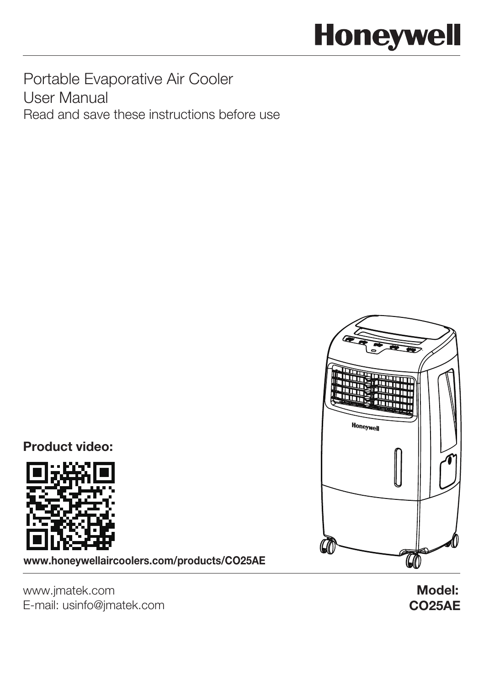# **Honeywell**

Portable Evaporative Air Cooler User Manual Read and save these instructions before use

Product video:



www.honeywellaircoolers.com/products/CO25AE



www.jmatek.com E-mail: usinfo@jmatek.com CO25AE Model: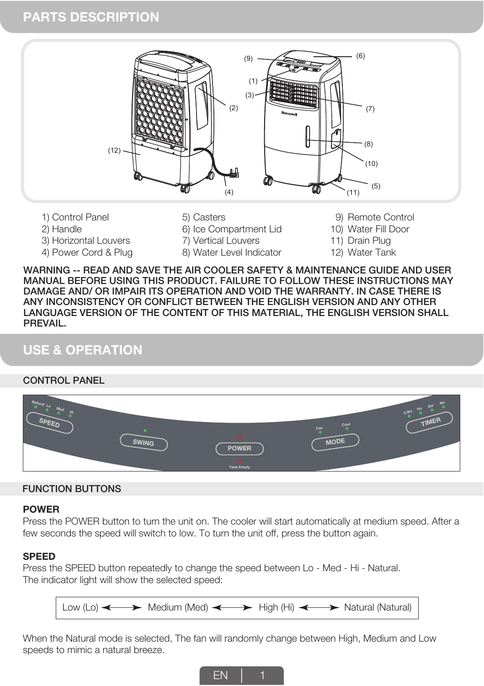## **PARTS DESCRIPTION**



- 2) Handle
- 3) Horizontal Louvers
- 4) Power Cord & Plug
- 5) Casters
- 6) Ice Compartment Lid
- 7) Vertical Louvers 8) Water Level Indicator
- 9) Remote Control
- 10) Water Fill Door
- 11) Drain Plug
- 12) Water Tank

WARNING -- READ AND SAVE THE AIR COOLER SAFETY & MAINTENANCE GUIDE AND USER MANUAL BEFORE USING THIS PRODUCT. FAILURE TO FOLLOW THESE INSTRUCTIONS MAY DAMAGE AND/ OR IMPAIR ITS OPERATION AND VOID THE WARRANTY. IN CASE THERE IS ANY INCONSISTENCY OR CONFLICT BETWEEN THE ENGLISH VERSION AND ANY OTHER LANGUAGE VERSION OF THE CONTENT OF THIS MATERIAL, THE ENGLISH VERSION SHALL PREVAIL.

## **USE & OPERATION**

#### CONTROL PANEL

| Natural <b>P</b><br>$\overline{\mathcal{L}}$<br>SPEED | <b>SWING</b> | <b>POWER</b>      | Cool<br>$F\overset{\text{an}}{=}$<br><b>MODE</b> | 457<br>$0.5h^{r}$<br><b>TIMER</b> |
|-------------------------------------------------------|--------------|-------------------|--------------------------------------------------|-----------------------------------|
|                                                       |              | <b>Tank Empty</b> |                                                  |                                   |

#### FUNCTION BUTTONS

#### **POWER**

Press the POWER button to turn the unit on. The cooler will start automatically at medium speed. After a few seconds the speed will switch to low. To turn the unit off, press the button again.

#### **SPEED**

Press the SPEED button repeatedly to change the speed between Lo - Med - Hi - Natural. The indicator light will show the selected speed:



When the Natural mode is selected, The fan will randomly change between High, Medium and Low speeds to mimic a natural breeze.

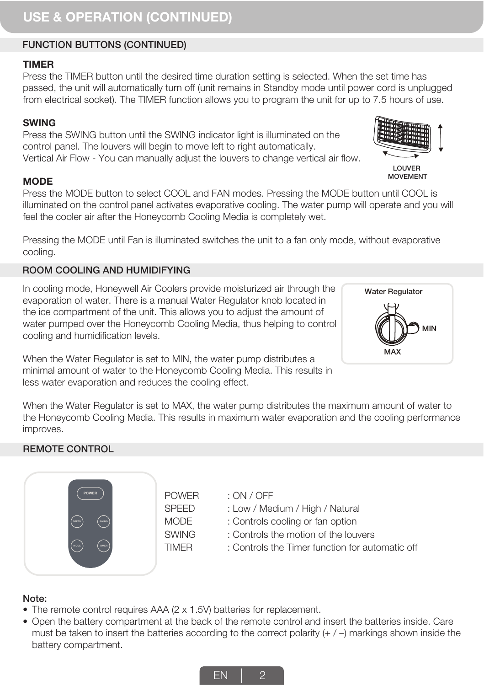## **USE & OPERATION (CONTINUED)**

## FUNCTION BUTTONS (CONTINUED)

## **TIMER**

Press the TIMER button until the desired time duration setting is selected. When the set time has passed, the unit will automatically turn off (unit remains in Standby mode until power cord is unplugged from electrical socket). The TIMER function allows you to program the unit for up to 7.5 hours of use.

#### **SWING**

Press the SWING button until the SWING indicator light is illuminated on the control panel. The louvers will begin to move left to right automatically. Vertical Air Flow - You can manually adjust the louvers to change vertical air flow.

#### **MODE**

Press the MODE button to select COOL and FAN modes. Pressing the MODE button until COOL is illuminated on the control panel activates evaporative cooling. The water pump will operate and you will feel the cooler air after the Honeycomb Cooling Media is completely wet.

Pressing the MODE until Fan is illuminated switches the unit to a fan only mode, without evaporative cooling.

#### ROOM COOLING AND HUMIDIFYING

In cooling mode, Honeywell Air Coolers provide moisturized air through the evaporation of water. There is a manual Water Regulator knob located in the ice compartment of the unit. This allows you to adjust the amount of water pumped over the Honeycomb Cooling Media, thus helping to control cooling and humidification levels.

When the Water Regulator is set to MIN, the water pump distributes a minimal amount of water to the Honeycomb Cooling Media. This results in less water evaporation and reduces the cooling effect.

When the Water Regulator is set to MAX, the water pump distributes the maximum amount of water to the Honeycomb Cooling Media. This results in maximum water evaporation and the cooling performance improves.

#### REMOTE CONTROL



POWER SPEED MODE **SWING** TIMER

: ON / OFF

- : Low / Medium / High / Natural
- : Controls cooling or fan option
- : Controls the motion of the louvers
- : Controls the Timer function for automatic off

#### Note:

- The remote control requires AAA (2 x 1.5V) batteries for replacement.
- Open the battery compartment at the back of the remote control and insert the batteries inside. Care must be taken to insert the batteries according to the correct polarity  $(+/-)$  markings shown inside the battery compartment.







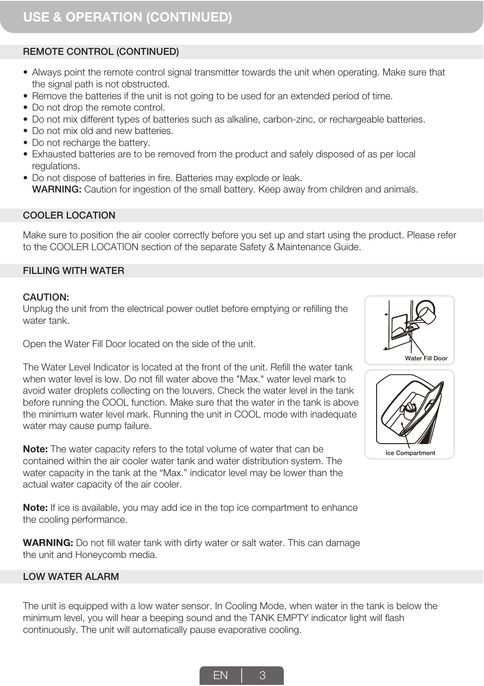## REMOTE CONTROL (CONTINUED)

- Always point the remote control signal transmitter towards the unit when operating. Make sure that the signal path is not obstructed.
- Remove the batteries if the unit is not going to be used for an extended period of time.
- Do not drop the remote control.
- Do not mix different types of batteries such as alkaline, carbon-zinc, or rechargeable batteries.
- Do not mix old and new batteries.
- Do not recharge the battery.
- Exhausted batteries are to be removed from the product and safely disposed of as per local regulations.
- Do not dispose of batteries in fire. Batteries may explode or leak. WARNING: Caution for ingestion of the small battery. Keep away from children and animals.

#### COOLER LOCATION

Make sure to position the air cooler correctly before you set up and start using the product. Please refer to the COOLER LOCATION section of the separate Safety & Maintenance Guide.

#### FILLING WITH WATER

#### CAUTION:

Unplug the unit from the electrical power outlet before emptying or refilling the water tank.



Open the Water Fill Door located on the side of the unit.

The Water Level Indicator is located at the front of the unit. Refill the water tank when water level is low. Do not fill water above the "Max." water level mark to avoid water droplets collecting on the louvers. Check the water level in the tank before running the COOL function. Make sure that the water in the tank is above the minimum water level mark. Running the unit in COOL mode with inadequate water may cause pump failure.

**Note:** The water capacity refers to the total volume of water that can be contained within the air cooler water tank and water distribution system. The water capacity in the tank at the "Max." indicator level may be lower than the actual water capacity of the air cooler.

**Note:** If ice is available, you may add ice in the top ice compartment to enhance the cooling performance.

**WARNING:** Do not fill water tank with dirty water or salt water. This can damage the unit and Honeycomb media.

#### LOW WATER ALARM

The unit is equipped with a low water sensor. In Cooling Mode, when water in the tank is below the minimum level, you will hear a beeping sound and the TANK EMPTY indicator light will flash continuously. The unit will automatically pause evaporative cooling.



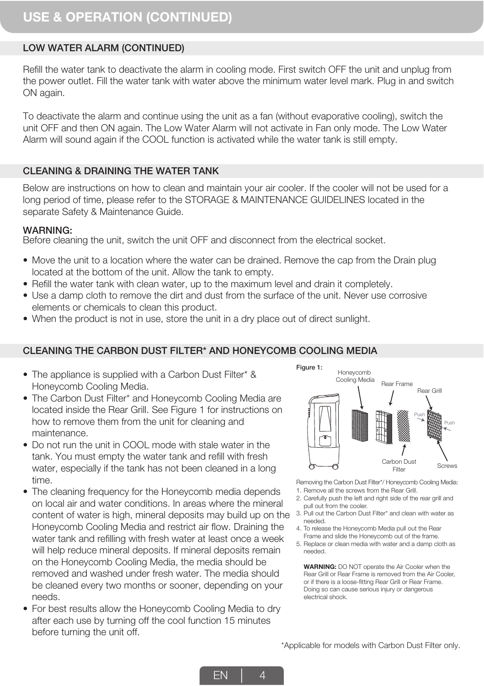#### LOW WATER ALARM (CONTINUED)

Refill the water tank to deactivate the alarm in cooling mode. First switch OFF the unit and unplug from the power outlet. Fill the water tank with water above the minimum water level mark. Plug in and switch ON again.

To deactivate the alarm and continue using the unit as a fan (without evaporative cooling), switch the unit OFF and then ON again. The Low Water Alarm will not activate in Fan only mode. The Low Water Alarm will sound again if the COOL function is activated while the water tank is still empty.

#### CLEANING & DRAINING THE WATER TANK

Below are instructions on how to clean and maintain your air cooler. If the cooler will not be used for a long period of time, please refer to the STORAGE & MAINTENANCE GUIDELINES located in the separate Safety & Maintenance Guide.

#### WARNING:

Before cleaning the unit, switch the unit OFF and disconnect from the electrical socket.

- Move the unit to a location where the water can be drained. Remove the cap from the Drain plug t located at the bottom of the unit. Allow the tank to empty.
- Refill the water tank with clean water, up to the maximum level and drain it completely. t
- Use a damp cloth to remove the dirt and dust from the surface of the unit. Never use corrosive elements or chemicals to clean this product.
- When the product is not in use, store the unit in a dry place out of direct sunlight.

#### CLEANING THE CARBON DUST FILTER\* AND HONEYCOMB COOLING MEDIA

- The appliance is supplied with a Carbon Dust Filter\* & Honeycomb Cooling Media.
- The Carbon Dust Filter\* and Honeycomb Cooling Media are located inside the Rear Grill. See Figure 1 for instructions on how to remove them from the unit for cleaning and maintenance.
- Do not run the unit in COOL mode with stale water in the tank. You must empty the water tank and refill with fresh water, especially if the tank has not been cleaned in a long time.
- The cleaning frequency for the Honeycomb media depends on local air and water conditions. In areas where the mineral content of water is high, mineral deposits may build up on the Honeycomb Cooling Media and restrict air flow. Draining the water tank and refilling with fresh water at least once a week will help reduce mineral deposits. If mineral deposits remain on the Honeycomb Cooling Media, the media should be removed and washed under fresh water. The media should be cleaned every two months or sooner, depending on your needs.
- For best results allow the Honeycomb Cooling Media to dry t after each use by turning off the cool function 15 minutes before turning the unit off.



Removing the Carbon Dust Filter\*/ Honeycomb Cooling Media:

- 1. Remove all the screws from the Rear Grill.
- 2. Carefully push the left and right side of the rear grill and pull out from the cooler.
- 3. Pull out the Carbon Dust Filter\* and clean with water as needed.
- 4. To release the Honeycomb Media pull out the Rear Frame and slide the Honeycomb out of the frame.
- 5. Replace or clean media with water and a damp cloth as needed.

**WARNING:** DO NOT operate the Air Cooler when the Rear Grill or Rear Frame is removed from the Air Cooler, or if there is a loose-fitting Rear Grill or Rear Frame. Doing so can cause serious injury or dangerous electrical shock.

\*Applicable for models with Carbon Dust Filter only.

EN 4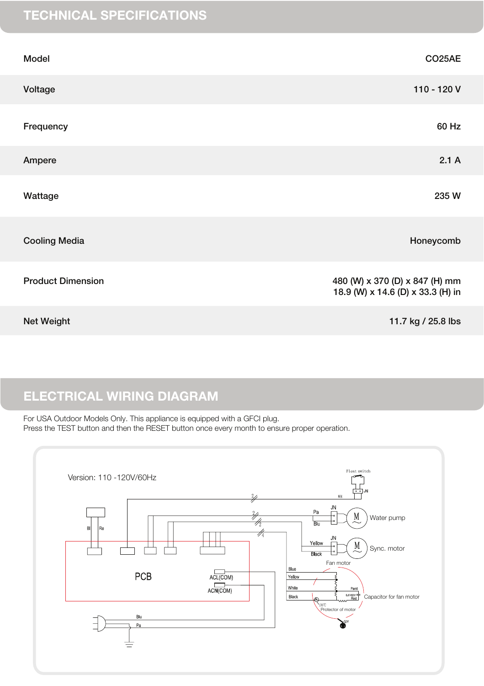# TECHNICAL SPECIFICATIONS

| Model                    | CO25AE                                                              |
|--------------------------|---------------------------------------------------------------------|
| Voltage                  | 110 - 120 V                                                         |
| Frequency                | 60 Hz                                                               |
| Ampere                   | 2.1A                                                                |
| Wattage                  | 235 W                                                               |
| <b>Cooling Media</b>     | Honeycomb                                                           |
| <b>Product Dimension</b> | 480 (W) x 370 (D) x 847 (H) mm<br>18.9 (W) x 14.6 (D) x 33.3 (H) in |
| Net Weight               | 11.7 kg / 25.8 lbs                                                  |

# ELECTRICAL WIRING DIAGRAM

For USA Outdoor Models Only. This appliance is equipped with a GFCI plug. Press the TEST button and then the RESET button once every month to ensure proper operation.